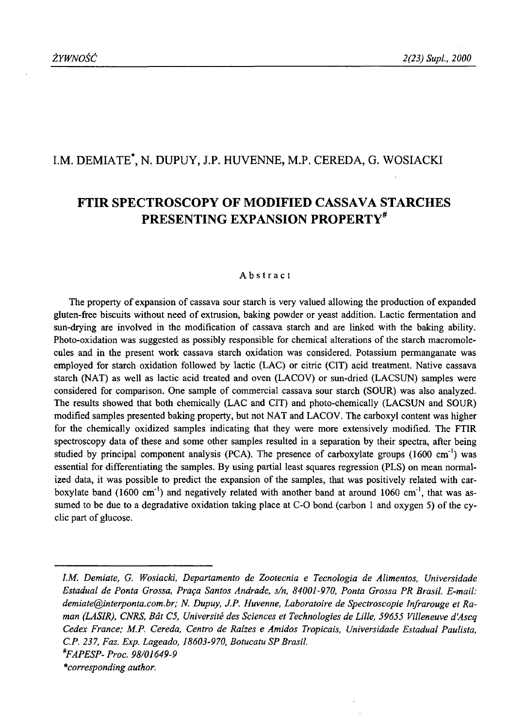# I.M. DEMIATE\*, N. DUPUY, J.P. HUVENNE, M.P. CEREDA, G. WOSIACKI

# **FTIR SPECTROSCOPY OF MODIFIED CASSAVA STARCHES PRESENTING EXPANSION PROPERTY\***

#### Abstract

The property of expansion of cassava sour starch is very valued allowing the production of expanded gluten-free biscuits without need of extrusion, baking powder or yeast addition. Lactic fermentation and sun-drying are involved in the modification of cassava starch and are linked with the baking ability. Photo-oxidation was suggested as possibly responsible for chemical alterations of the starch macromolecules and in the present work cassava starch oxidation was considered. Potassium permanganate was employed for starch oxidation followed by lactic (LAC) or citric (CIT) acid treatment. Native cassava starch (NAT) as well as lactic acid treated and oven (LACOV) or sun-dried (LACSUN) samples were considered for comparison. One sample of commercial cassava sour starch (SOUR) was also analyzed. The results showed that both chemically (LAC and CIT) and photo-chemically (LACSUN and SOUR) modified samples presented baking property, but not NAT and LACOV. The carboxyl content was higher for the chemically oxidized samples indicating that they were more extensively modified. The FTIR spectroscopy data of these and some other samples resulted in a separation by their spectra, after being studied by principal component analysis (PCA). The presence of carboxylate groups (1600 cm<sup>-1</sup>) was essential for differentiating the samples. By using partial least squares regression (PLS) on mean normalized data, it was possible to predict the expansion of the samples, that was positively related with carboxylate band (1600 cm<sup>-1</sup>) and negatively related with another band at around 1060 cm<sup>-1</sup>, that was assumed to be due to a degradative oxidation taking place at C-O bond (carbon 1 and oxygen 5) of the cyclic part of glucose.

*I.M. Demiate, G. Wosiacki, Departamento de Zootecnia e Tecnologia de Alimentos, Universidade Estadual de Ponta Grossa, Praęa Santos Andrade, s/n, 84001-970, Ponta Grossa PR Brasil. E-mail: [demiate@interponta.com.br](mailto:demiate@interponta.com.br)*; *N. Dupuy, J.P. Huvenne, Laboratoire de Spectroscopie Infrarouge et Raman (LASIR), CNRS, Bat C5, Universite des Sciences et Technologies de Lille, 59655 Villeneuve d'Ascq Cedex France; M.P. Cereda, Centro de Raizes e Amidos Tropicais, Universidade Estadual Paulista, C.P. 237, Faz. Exp. Lageado, 18603-970, Botucatu SP Brasil. \*FAPESP- Proc. 98/01649-9 Corresponding author.*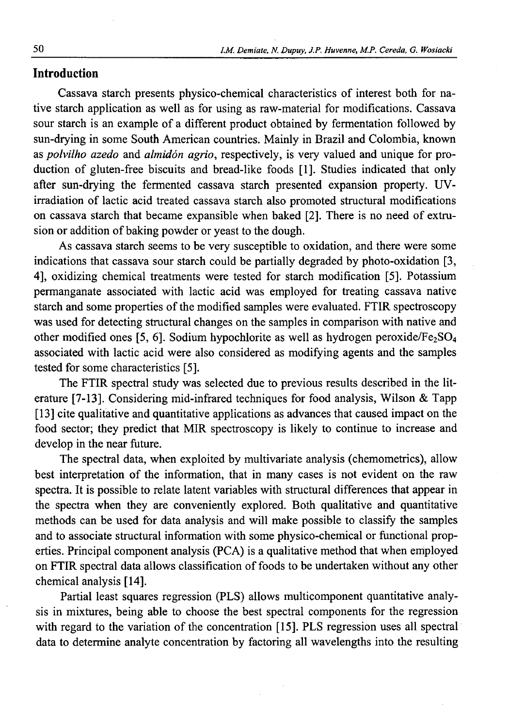# **Introduction**

Cassava starch presents physico-chemical characteristics of interest both for native starch application as well as for using as raw-material for modifications. Cassava sour starch is an example of a different product obtained by fermentation followed by sun-drying in some South American countries. Mainly in Brazil and Colombia, known as *polvilho azedo* and *almidón agrio,* respectively, is very valued and unique for production of gluten-free biscuits and bread-like foods [1]. Studies indicated that only after sun-drying the fermented cassava starch presented expansion property. UVirradiation of lactic acid treated cassava starch also promoted structural modifications on cassava starch that became expansible when baked [2]. There is no need of extrusion or addition of baking powder or yeast to the dough.

As cassava starch seems to be very susceptible to oxidation, and there were some indications that cassava sour starch could be partially degraded by photo-oxidation [3, 4], oxidizing chemical treatments were tested for starch modification [5]. Potassium permanganate associated with lactic acid was employed for treating cassava native starch and some properties of the modified samples were evaluated. FTIR spectroscopy was used for detecting structural changes on the samples in comparison with native and other modified ones [5, 6]. Sodium hypochlorite as well as hydrogen peroxide/Fe<sub>2</sub>SO<sub>4</sub> associated with lactic acid were also considered as modifying agents and the samples tested for some characteristics [5].

The FTIR spectral study was selected due to previous results described in the literature [7-13]. Considering mid-infrared techniques for food analysis, Wilson & Tapp [13] cite qualitative and quantitative applications as advances that caused impact on the food sector; they predict that MIR spectroscopy is likely to continue to increase and develop in the near future.

The spectral data, when exploited by multivariate analysis (chemometrics), allow best interpretation of the information, that in many cases is not evident on the raw spectra. It is possible to relate latent variables with structural differences that appear in the spectra when they are conveniently explored. Both qualitative and quantitative methods can be used for data analysis and will make possible to classify the samples and to associate structural information with some physico-chemical or functional properties. Principal component analysis (PCA) is a qualitative method that when employed on FTIR spectral data allows classification of foods to be undertaken without any other chemical analysis [14].

Partial least squares regression (PLS) allows multicomponent quantitative analysis in mixtures, being able to choose the best spectral components for the regression with regard to the variation of the concentration [15]. PLS regression uses all spectral data to determine analyte concentration by factoring all wavelengths into the resulting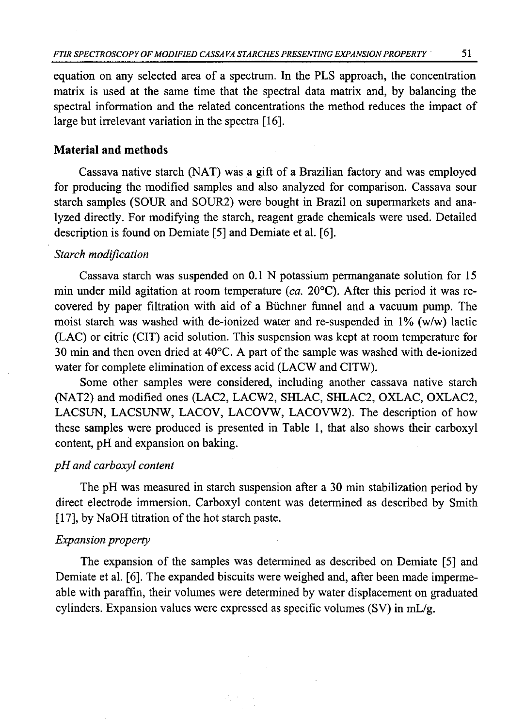equation on any selected area of a spectrum. In the PLS approach, the concentration matrix is used at the same time that the spectral data matrix and, by balancing the spectral information and the related concentrations the method reduces the impact of large but irrelevant variation in the spectra [16].

### **Material and methods**

Cassava native starch (NAT) was a gift of a Brazilian factory and was employed for producing the modified samples and also analyzed for comparison. Cassava sour starch samples (SOUR and SOUR2) were bought in Brazil on supermarkets and analyzed directly. For modifying the starch, reagent grade chemicals were used. Detailed description is found on Demiate [5] and Demiate et al. [6].

### *Starch modification*

Cassava starch was suspended on 0.1 N potassium permanganate solution for 15 min under mild agitation at room temperature *{ca.* 20°C). After this period it was recovered by paper filtration with aid of a Buchner funnel and a vacuum pump. The moist starch was washed with de-ionized water and re-suspended in 1% (w/w) lactic (LAC) or citric (CIT) acid solution. This suspension was kept at room temperature for 30 min and then oven dried at 40°C. A part of the sample was washed with de-ionized water for complete elimination of excess acid (LACW and CITW).

Some other samples were considered, including another cassava native starch (NAT2) and modified ones (LAC2, LACW2, SHLAC, SHLAC2, OXLAC, OXLAC2, LACSUN, LACSUNW, LACOV, LACOVW, LACOVW2). The description of how these samples were produced is presented in Table 1, that also shows their carboxyl content, pH and expansion on baking.

### *p H and carboxyl content*

The pH was measured in starch suspension after a 30 min stabilization period by direct electrode immersion. Carboxyl content was determined as described by Smith [17], by NaOH titration of the hot starch paste.

#### *Expansion property*

The expansion of the samples was determined as described on Demiate [5] and Demiate et al. [6]. The expanded biscuits were weighed and, after been made impermeable with paraffin, their volumes were determined by water displacement on graduated cylinders. Expansion values were expressed as specific volumes (SV) in mL/g.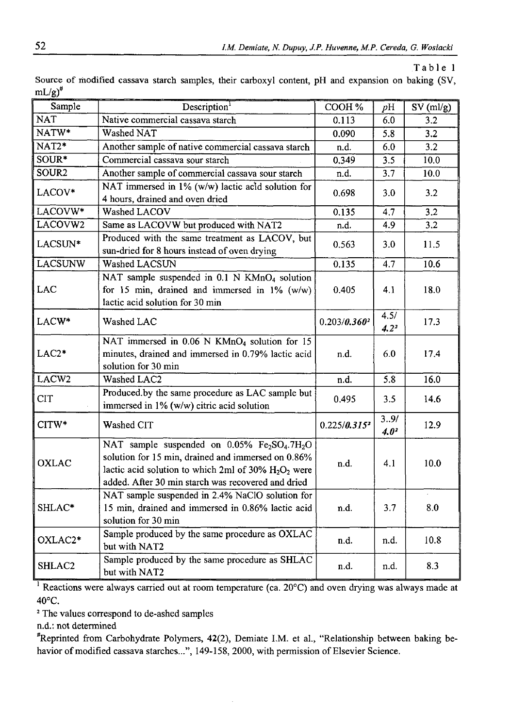**Table 1**

| ر -                  |                                                                                                                                                                                                                                                           |                          |                   |                               |
|----------------------|-----------------------------------------------------------------------------------------------------------------------------------------------------------------------------------------------------------------------------------------------------------|--------------------------|-------------------|-------------------------------|
| Sample               | Description <sup>1</sup>                                                                                                                                                                                                                                  | COOH%                    | pH                | $\overline{\text{SV}}$ (ml/g) |
| <b>NAT</b>           | Native commercial cassava starch                                                                                                                                                                                                                          | 0.113                    | 6.0               | 3.2                           |
| $NATW*$              | Washed NAT                                                                                                                                                                                                                                                | 0.090                    | 5.8               | 3.2                           |
| $NAT2*$              | Another sample of native commercial cassava starch                                                                                                                                                                                                        | n.d.                     | 6.0               | 3.2                           |
| SOUR*                | Commercial cassava sour starch                                                                                                                                                                                                                            | 0.349                    | 3.5               | 10.0                          |
| SOUR <sub>2</sub>    | Another sample of commercial cassava sour starch                                                                                                                                                                                                          | n.d.                     | 3.7               | 10.0                          |
| LACOV*               | NAT immersed in 1% (w/w) lactic acid solution for<br>4 hours, drained and oven dried                                                                                                                                                                      | 0.698                    | 3.0               | 3.2                           |
| LACOVW*              | Washed LACOV                                                                                                                                                                                                                                              | 0.135                    | 4.7               | 3.2                           |
| LACOVW2              | Same as LACOVW but produced with NAT2                                                                                                                                                                                                                     | n.d.                     | 4.9               | 3.2                           |
| LACSUN*              | Produced with the same treatment as LACOV, but<br>sun-dried for 8 hours instead of oven drying                                                                                                                                                            | 0.563                    | 3.0               | 11.5                          |
| <b>LACSUNW</b>       | Washed LACSUN                                                                                                                                                                                                                                             | 0.135                    | 4.7               | 10.6                          |
| LAC                  | NAT sample suspended in 0.1 N KMnO <sub>4</sub> solution<br>for 15 min, drained and immersed in $1\%$ (w/w)<br>lactic acid solution for 30 min                                                                                                            | 0.405                    | 4.1               | 18.0                          |
| LACW*                | Washed LAC                                                                                                                                                                                                                                                | $0.203/0.360^2$          | 4.5/<br>$4.2^{2}$ | 17.3                          |
| $LAC2*$              | NAT immersed in 0.06 N KMnO <sub>4</sub> solution for 15<br>minutes, drained and immersed in 0.79% lactic acid<br>solution for 30 min                                                                                                                     | n.d.                     | 6.0               | 17.4                          |
| LACW <sub>2</sub>    | Washed LAC2                                                                                                                                                                                                                                               | n.d.                     | 5.8               | 16.0                          |
| <b>CIT</b>           | Produced.by the same procedure as LAC sample but<br>immersed in 1% (w/w) citric acid solution                                                                                                                                                             | 0.495                    |                   | 14.6                          |
| CITW*                | Washed CIT                                                                                                                                                                                                                                                | 0.225/0.315 <sup>2</sup> | 3.9/<br>$4.0^{2}$ | 12.9                          |
| OXLAC                | NAT sample suspended on $0.05\%$ Fe <sub>2</sub> SO <sub>4</sub> .7H <sub>2</sub> O<br>solution for 15 min, drained and immersed on 0.86%<br>lactic acid solution to which 2ml of 30% $H_2O_2$ were<br>added. After 30 min starch was recovered and dried | n.d.                     | 4.1               | 10.0                          |
| SHLAC*               | NAT sample suspended in 2.4% NaClO solution for<br>15 min, drained and immersed in 0.86% lactic acid<br>solution for 30 min                                                                                                                               | n.d.                     | 3.7               | 8.0                           |
| OXLAC <sub>2</sub> * | Sample produced by the same procedure as OXLAC<br>but with NAT2                                                                                                                                                                                           | n.d.                     | n.d.              | 10.8                          |
| SHLAC2               | Sample produced by the same procedure as SHLAC<br>but with NAT2                                                                                                                                                                                           | n.d.                     | n.d.              | 8.3                           |

Source of modified cassava starch samples, their carboxyl content, pH and expansion on baking (SV,  $mL/e^{\pi}$ 

<sup>1</sup> Reactions were always carried out at room temperature (ca. 20°C) and oven drying was always made at 40°C.

2 The values correspond to de-ashed samples

n.d.: not determined

#Reprinted from Carbohydrate Polymers, 42(2), Demiate I.M. et al., "Relationship between baking behavior of modified cassava starches...", 149-158, 2000, with permission of Elsevier Science.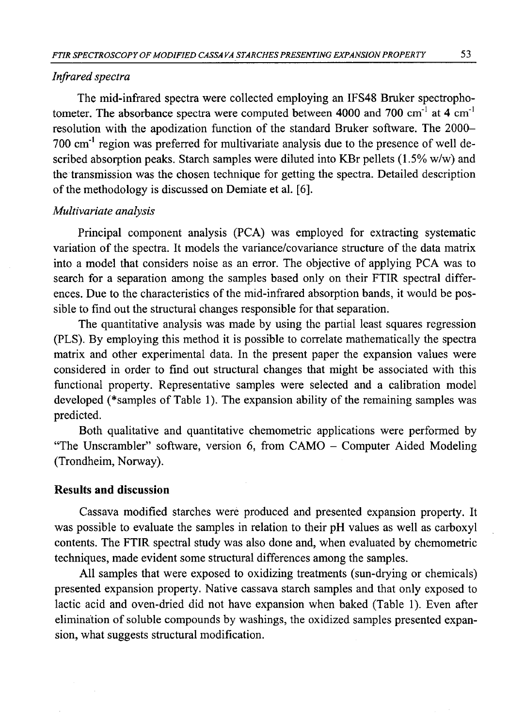### *Infrared spectra*

The mid-infrared spectra were collected employing an IFS48 Bruker spectrophotometer. The absorbance spectra were computed between 4000 and 700  $cm^{-1}$  at 4  $cm^{-1}$ resolution with the apodization function of the standard Bruker software. The 2000- 700 cm'1 region was preferred for multivariate analysis due to the presence of well described absorption peaks. Starch samples were diluted into KBr pellets (1.5% w/w) and the transmission was the chosen technique for getting the spectra. Detailed description of the methodology is discussed on Demiate et al. [6].

## *Multivariate analysis*

Principal component analysis (PCA) was employed for extracting systematic variation of the spectra. It models the variance/covariance structure of the data matrix into a model that considers noise as an error. The objective of applying PCA was to search for a separation among the samples based only on their FTIR spectral differences. Due to the characteristics of the mid-infrared absorption bands, it would be possible to find out the structural changes responsible for that separation.

The quantitative analysis was made by using the partial least squares regression (PLS). By employing this method it is possible to correlate mathematically the spectra matrix and other experimental data. In the present paper the expansion values were considered in order to find out structural changes that might be associated with this functional property. Representative samples were selected and a calibration model developed (\*samples of Table 1). The expansion ability of the remaining samples was predicted.

Both qualitative and quantitative chemometric applications were performed by "The Unscrambler" software, version 6, from CAMO - Computer Aided Modeling (Trondheim, Norway).

## **Results and discussion**

Cassava modified starches were produced and presented expansion property. It was possible to evaluate the samples in relation to their pH values as well as carboxyl contents. The FTIR spectral study was also done and, when evaluated by chemometric techniques, made evident some structural differences among the samples.

All samples that were exposed to oxidizing treatments (sun-drying or chemicals) presented expansion property. Native cassava starch samples and that only exposed to lactic acid and oven-dried did not have expansion when baked (Table 1). Even after elimination of soluble compounds by washings, the oxidized samples presented expansion, what suggests structural modification.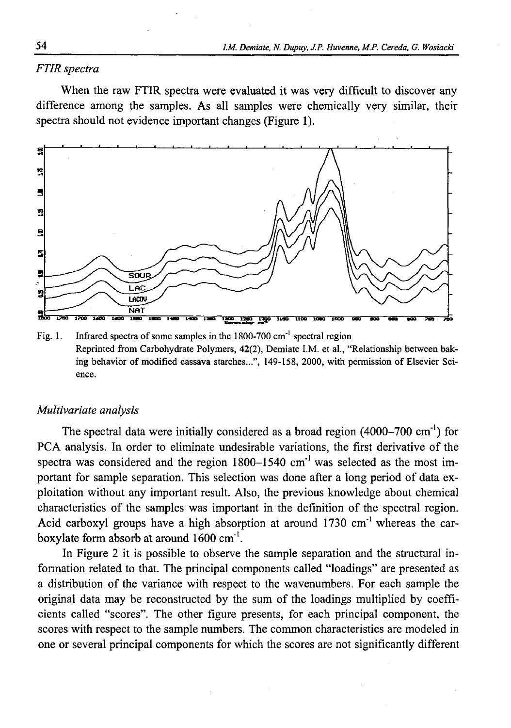## *FTIR spectra*

When the raw FTIR spectra were evaluated it was very difficult to discover any difference among the samples. As all samples were chemically very similar, their spectra should not evidence important changes (Figure 1).



Fig. 1. Infrared spectra of some samples in the 1800-700 cm'1 spectral region Reprinted from Carbohydrate Polymers, 42(2), Demiate I.M. et al., "Relationship between baking behavior of modified cassava starches...", 149-158, 2000, with permission of Elsevier Science.

### *Multivariate analysis*

The spectral data were initially considered as a broad region (4000-700 cm<sup>-1</sup>) for PCA analysis. In order to eliminate undesirable variations, the first derivative of the spectra was considered and the region 1800-1540 cm'1 was selected as the most important for sample separation. This selection was done after a long period of data exploitation without any important result. Also, the previous knowledge about chemical characteristics of the samples was important in the definition of the spectral region. Acid carboxyl groups have a high absorption at around  $1730 \text{ cm}^{-1}$  whereas the carboxy late form absorb at around  $1600 \text{ cm}^{-1}$ .

In Figure 2 it is possible to observe the sample separation and the structural information related to that. The principal components called "loadings" are presented as a distribution of the variance with respect to the wavenumbers. For each sample the original data may be reconstructed by the sum of the loadings multiplied by coefficients called "scores". The other figure presents, for each principal component, the scores with respect to the sample numbers. The common characteristics are modeled in one or several principal components for which the scores are not significantly different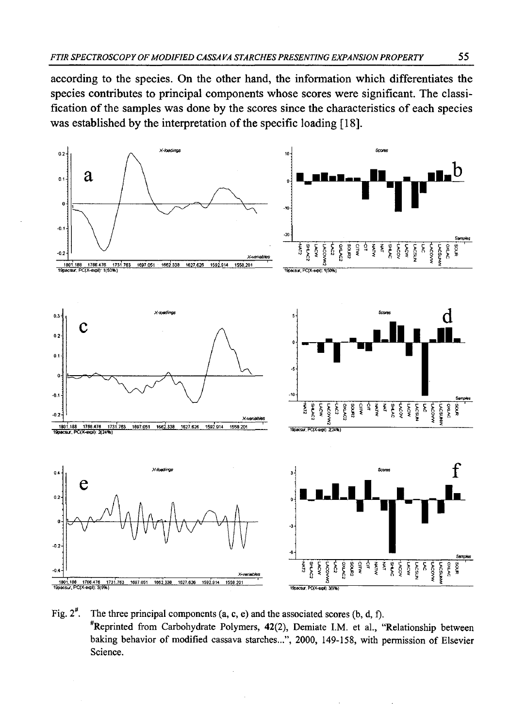according to the species. On the other hand, the information which differentiates the species contributes to principal components whose scores were significant. The classification of the samples was done by the scores since the characteristics of each species was established by the interpretation of the specific loading [18].



Fig.  $2^{\#}$ . The three principal components (a, c, e) and the associated scores (b, d, f). #Reprinted from Carbohydrate Polymers, 42(2), Demiate I.M. et al., "Relationship between baking behavior of modified cassava starches...", 2000, 149-158, with permission of Elsevier Science.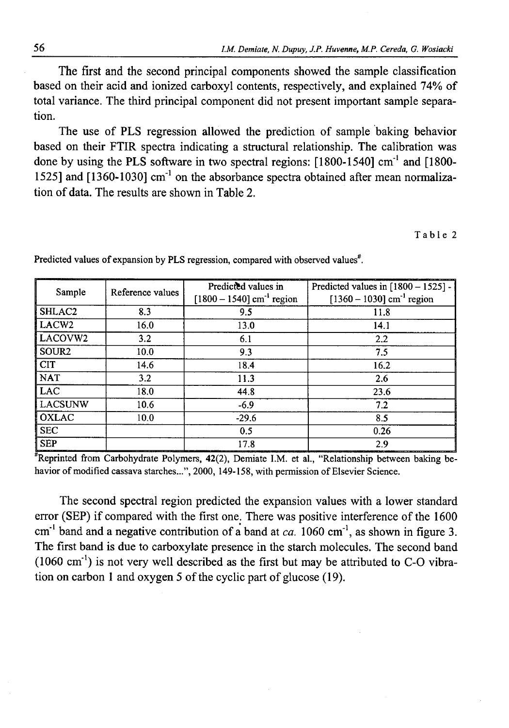The first and the second principal components showed the sample classification based on their acid and ionized carboxyl contents, respectively, and explained 74% of total variance. The third principal component did not present important sample separation.

The use of PLS regression allowed the prediction of sample baking behavior based on their FTIR spectra indicating a structural relationship. The calibration was done by using the PLS software in two spectral regions: [1800-1540] cm'1 and [1800- 1525] and [1360-1030] cm'1 on the absorbance spectra obtained after mean normalization of data. The results are shown in Table 2.

#### Table 2

| Sample             | Reference values | Predicted values in<br>$[1800 - 1540]$ cm <sup>-1</sup> region | Predicted values in $[1800 - 1525]$ -<br>$[1360 - 1030]$ cm <sup>-1</sup> region |  |
|--------------------|------------------|----------------------------------------------------------------|----------------------------------------------------------------------------------|--|
| SHLAC <sub>2</sub> | 8.3              | 9.5                                                            | 11.8                                                                             |  |
| LACW <sub>2</sub>  | 16.0             | 13.0                                                           | 14.1                                                                             |  |
| LACOVW2            | 3.2              | 6.1                                                            | 2.2                                                                              |  |
| SOUR <sub>2</sub>  | 10.0             | 9.3                                                            | 7.5                                                                              |  |
| CT                 | 14.6             | 18.4                                                           | 16.2                                                                             |  |
| <b>NAT</b>         | 3.2              | 11.3                                                           | 2.6                                                                              |  |
| <b>LAC</b>         | 18.0             | 44.8                                                           | 23.6                                                                             |  |
| LACSUNW            | 10.6             | $-6.9$                                                         | 7.2                                                                              |  |
| <b>OXLAC</b>       | 10.0             | $-29.6$                                                        | 8.5                                                                              |  |
| SEC                |                  | 0.5                                                            | 0.26                                                                             |  |
| <b>SEP</b>         |                  | 17.8                                                           | 2.9                                                                              |  |

Predicted values of expansion by PLS regression, compared with observed values $*$ .

Reprinted from Carbohydrate Polymers, 42(2), Demiate I.M. et al., "Relationship between baking behavior of modified cassava starches...", 2000, 149-158, with permission of Elsevier Science.

The second spectral region predicted the expansion values with a lower standard error (SEP) if compared with the first one. There was positive interference of the 1600 cm'1 band and a negative contribution of a band at *ca.* 1060 cm'1, as shown in figure 3. The first band is due to carboxylate presence in the starch molecules. The second band  $(1060 \text{ cm}^{-1})$  is not very well described as the first but may be attributed to C-O vibration on carbon 1 and oxygen 5 of the cyclic part of glucose (19).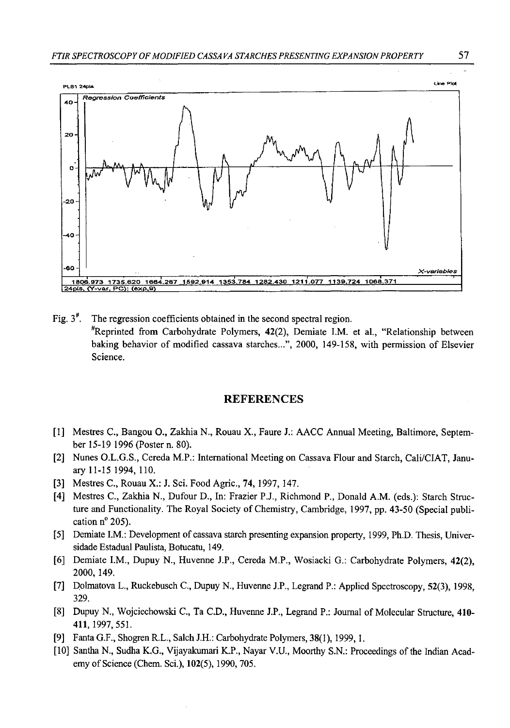

Fig.  $3<sup>*</sup>$ . The regression coefficients obtained in the second spectral region.  $*$ Reprinted from Carbohydrate Polymers, 42(2), Demiate I.M. et al., "Relationship between baking behavior of modified cassava starches...", 2000, 149-158, with permission of Elsevier Science.

#### REFERENCES

- [1] Mestres C., Bangou O., Zakhia N., Rouau X., Faure J.: AACC Annual Meeting, Baltimore, September 15-19 1996 (Poster n. 80).
- [2] Nunes O.L.G.S., Cereda M.P.: International Meeting on Cassava Flour and Starch, Cali/CIAT, January 11-15 1994, 110.
- [3] Mestres C., Rouau X.: J. Sci. Food Agric., 74,1997, 147.
- [4] Mestres C., Zakhia N., Dufour D., In: Frazier P.J., Richmond P., Donald A.M. (eds.): Starch Structure and Functionality. The Royal Society of Chemistry, Cambridge, 1997, pp. 43-50 (Special publication n° 205).
- [5] Demiate I.M.: Development of cassava starch presenting expansion property, 1999, Ph.D. Thesis, Universidade Estadual Paulista, Botucatu, 149.
- [6] Demiate I.M., Dupuy N., Huvenne J.P., Cereda M.P., Wosiacki G.: Carbohydrate Polymers, 42(2), 2000, 149.
- [7] Dolmatova L., Ruckebusch C., Dupuy N., Huvenne J.P., Legrand P.: Applied Spectroscopy, 52(3), 1998, 329.
- [8] Dupuy N., Wojciechowski C., Ta C.D., Huvenne J.P., Legrand P.: Journal of Molecular Structure, 410- 411,1997, 551.
- [9] Fanta G.F., Shogren R.L., Saleh J.H.: Carbohydrate Polymers, 38(1), 1999,1.
- [10] Santha N., Sudha K.G., Vijayakumari K.P., Nayar V.U., Moorthy S.N.: Proceedings of the Indian Academy of Science (Chem. Sci.), 102(5), 1990, 705.